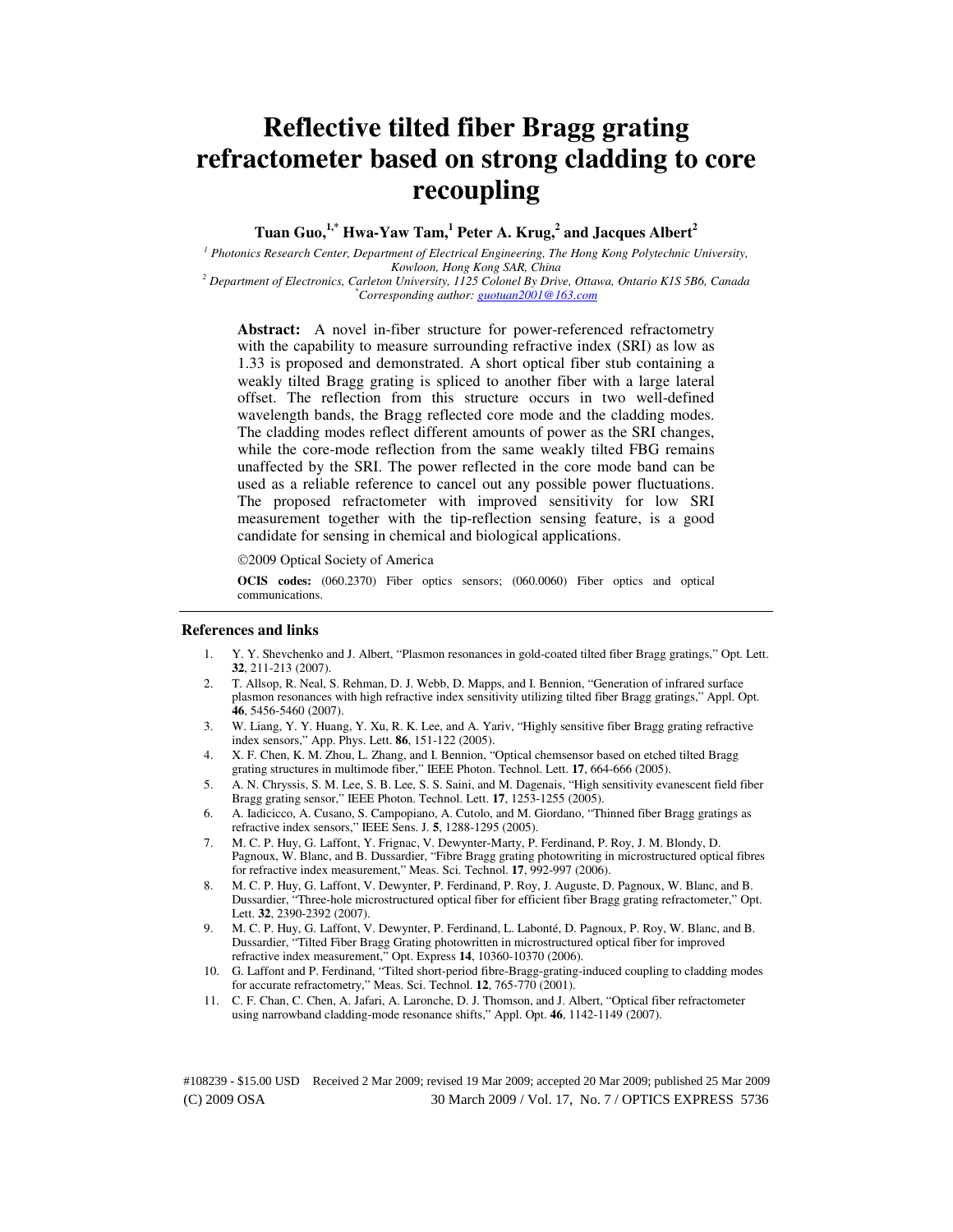# **Reflective tilted fiber Bragg grating refractometer based on strong cladding to core recoupling**

**Tuan Guo,1,\* Hwa-Yaw Tam,<sup>1</sup> Peter A. Krug,<sup>2</sup> and Jacques Albert<sup>2</sup>**

<sup>1</sup> Photonics Research Center, Department of Electrical Engineering, The Hong Kong Polytechnic University, *Kowloon, Hong Kong SAR, China 2 Department of Electronics, Carleton University, 1125 Colonel By Drive, Ottawa, Ontario K1S 5B6, Canada* 

*\*Corresponding author: guotuan2001@163.com*

**Abstract:** A novel in-fiber structure for power-referenced refractometry with the capability to measure surrounding refractive index (SRI) as low as 1.33 is proposed and demonstrated. A short optical fiber stub containing a weakly tilted Bragg grating is spliced to another fiber with a large lateral offset. The reflection from this structure occurs in two well-defined wavelength bands, the Bragg reflected core mode and the cladding modes. The cladding modes reflect different amounts of power as the SRI changes, while the core-mode reflection from the same weakly tilted FBG remains unaffected by the SRI. The power reflected in the core mode band can be used as a reliable reference to cancel out any possible power fluctuations. The proposed refractometer with improved sensitivity for low SRI measurement together with the tip-reflection sensing feature, is a good candidate for sensing in chemical and biological applications.

2009 Optical Society of America

**OCIS codes:** (060.2370) Fiber optics sensors; (060.0060) Fiber optics and optical communications.

#### **References and links**

- 1. Y. Y. Shevchenko and J. Albert, "Plasmon resonances in gold-coated tilted fiber Bragg gratings," Opt. Lett. **32**, 211-213 (2007).
- 2. T. Allsop, R. Neal, S. Rehman, D. J. Webb, D. Mapps, and I. Bennion, "Generation of infrared surface plasmon resonances with high refractive index sensitivity utilizing tilted fiber Bragg gratings," Appl. Opt. **46**, 5456-5460 (2007).
- 3. W. Liang, Y. Y. Huang, Y. Xu, R. K. Lee, and A. Yariv, "Highly sensitive fiber Bragg grating refractive index sensors," App. Phys. Lett. **86**, 151-122 (2005).
- 4. X. F. Chen, K. M. Zhou, L. Zhang, and I. Bennion, "Optical chemsensor based on etched tilted Bragg grating structures in multimode fiber," IEEE Photon. Technol. Lett. **17**, 664-666 (2005).
- 5. A. N. Chryssis, S. M. Lee, S. B. Lee, S. S. Saini, and M. Dagenais, "High sensitivity evanescent field fiber Bragg grating sensor," IEEE Photon. Technol. Lett. **17**, 1253-1255 (2005).
- 6. A. Iadicicco, A. Cusano, S. Campopiano, A. Cutolo, and M. Giordano, "Thinned fiber Bragg gratings as refractive index sensors," IEEE Sens. J. **5**, 1288-1295 (2005).
- 7. M. C. P. Huy, G. Laffont, Y. Frignac, V. Dewynter-Marty, P. Ferdinand, P. Roy, J. M. Blondy, D. Pagnoux, W. Blanc, and B. Dussardier, "Fibre Bragg grating photowriting in microstructured optical fibres for refractive index measurement," Meas. Sci. Technol. **17**, 992-997 (2006).
- 8. M. C. P. Huy, G. Laffont, V. Dewynter, P. Ferdinand, P. Roy, J. Auguste, D. Pagnoux, W. Blanc, and B. Dussardier, "Three-hole microstructured optical fiber for efficient fiber Bragg grating refractometer," Opt. Lett. **32**, 2390-2392 (2007).
- 9. M. C. P. Huy, G. Laffont, V. Dewynter, P. Ferdinand, L. Labonté, D. Pagnoux, P. Roy, W. Blanc, and B. Dussardier, "Tilted Fiber Bragg Grating photowritten in microstructured optical fiber for improved refractive index measurement," Opt. Express **14**, 10360-10370 (2006).
- 10. G. Laffont and P. Ferdinand, "Tilted short-period fibre-Bragg-grating-induced coupling to cladding modes for accurate refractometry," Meas. Sci. Technol. **12**, 765-770 (2001).
- 11. C. F. Chan, C. Chen, A. Jafari, A. Laronche, D. J. Thomson, and J. Albert, "Optical fiber refractometer using narrowband cladding-mode resonance shifts," Appl. Opt. **46**, 1142-1149 (2007).

(C) 2009 OSA 30 March 2009 / Vol. 17, No. 7 / OPTICS EXPRESS 5736 #108239 - \$15.00 USD Received 2 Mar 2009; revised 19 Mar 2009; accepted 20 Mar 2009; published 25 Mar 2009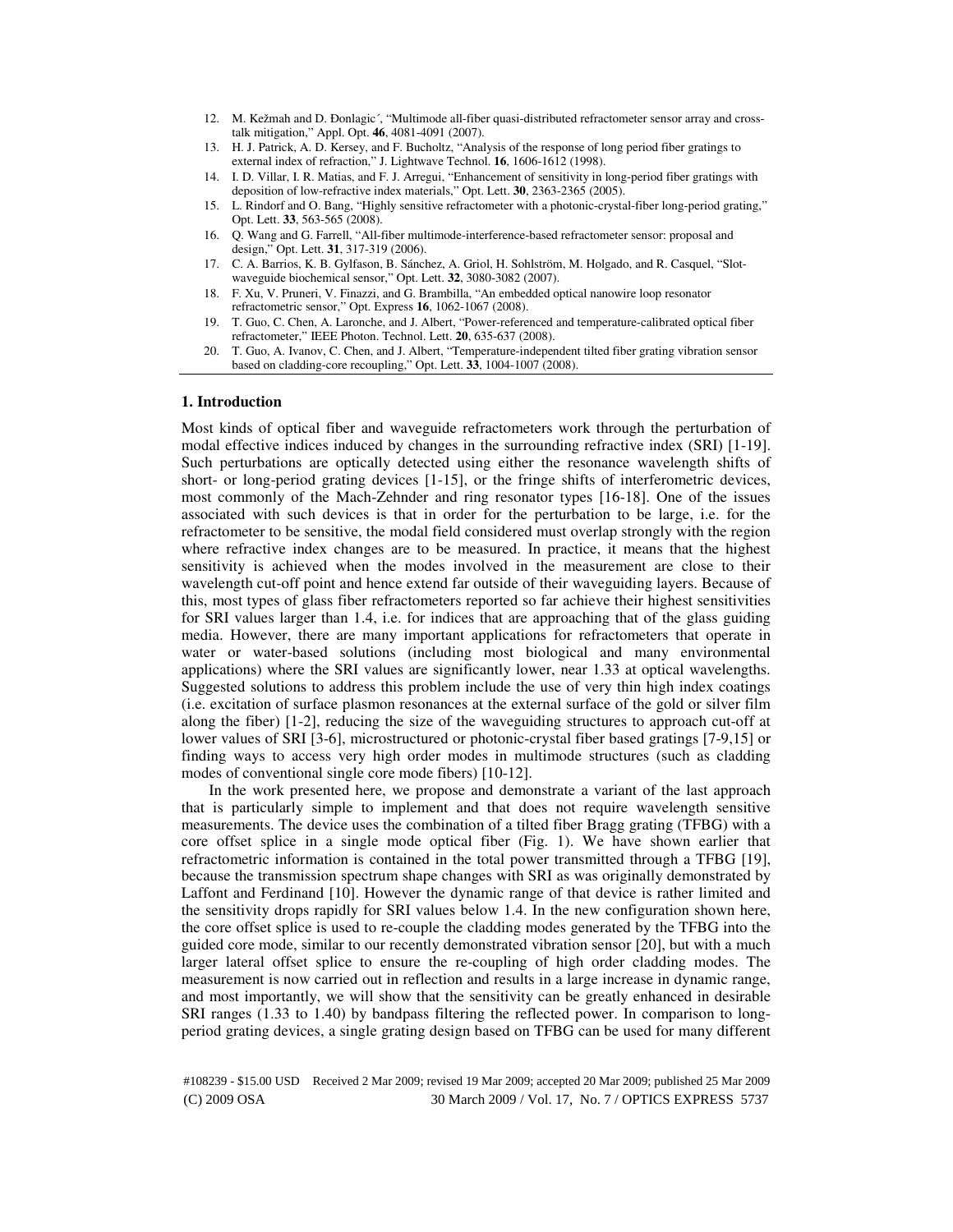- 12. M. Kežmah and D. Ðonlagic´, "Multimode all-fiber quasi-distributed refractometer sensor array and crosstalk mitigation," Appl. Opt. **46**, 4081-4091 (2007).
- 13. H. J. Patrick, A. D. Kersey, and F. Bucholtz, "Analysis of the response of long period fiber gratings to external index of refraction," J. Lightwave Technol. **16**, 1606-1612 (1998).
- 14. I. D. Villar, I. R. Matias, and F. J. Arregui, "Enhancement of sensitivity in long-period fiber gratings with deposition of low-refractive index materials," Opt. Lett. **30**, 2363-2365 (2005).
- 15. L. Rindorf and O. Bang, "Highly sensitive refractometer with a photonic-crystal-fiber long-period grating," Opt. Lett. **33**, 563-565 (2008).
- 16. Q. Wang and G. Farrell, "All-fiber multimode-interference-based refractometer sensor: proposal and design," Opt. Lett. **31**, 317-319 (2006).
- 17. C. A. Barrios, K. B. Gylfason, B. Sánchez, A. Griol, H. Sohlström, M. Holgado, and R. Casquel, "Slotwaveguide biochemical sensor," Opt. Lett. **32**, 3080-3082 (2007).
- 18. F. Xu, V. Pruneri, V. Finazzi, and G. Brambilla, "An embedded optical nanowire loop resonator refractometric sensor," Opt. Express **16**, 1062-1067 (2008).
- 19. T. Guo, C. Chen, A. Laronche, and J. Albert, "Power-referenced and temperature-calibrated optical fiber refractometer," IEEE Photon. Technol. Lett. **20**, 635-637 (2008).
- 20. T. Guo, A. Ivanov, C. Chen, and J. Albert, "Temperature-independent tilted fiber grating vibration sensor based on cladding-core recoupling," Opt. Lett. **33**, 1004-1007 (2008).

### **1. Introduction**

Most kinds of optical fiber and waveguide refractometers work through the perturbation of modal effective indices induced by changes in the surrounding refractive index (SRI) [1-19]. Such perturbations are optically detected using either the resonance wavelength shifts of short- or long-period grating devices [1-15], or the fringe shifts of interferometric devices, most commonly of the Mach-Zehnder and ring resonator types [16-18]. One of the issues associated with such devices is that in order for the perturbation to be large, i.e. for the refractometer to be sensitive, the modal field considered must overlap strongly with the region where refractive index changes are to be measured. In practice, it means that the highest sensitivity is achieved when the modes involved in the measurement are close to their wavelength cut-off point and hence extend far outside of their waveguiding layers. Because of this, most types of glass fiber refractometers reported so far achieve their highest sensitivities for SRI values larger than 1.4, i.e. for indices that are approaching that of the glass guiding media. However, there are many important applications for refractometers that operate in water or water-based solutions (including most biological and many environmental applications) where the SRI values are significantly lower, near 1.33 at optical wavelengths. Suggested solutions to address this problem include the use of very thin high index coatings (i.e. excitation of surface plasmon resonances at the external surface of the gold or silver film along the fiber) [1-2], reducing the size of the waveguiding structures to approach cut-off at lower values of SRI [3-6], microstructured or photonic-crystal fiber based gratings [7-9,15] or finding ways to access very high order modes in multimode structures (such as cladding modes of conventional single core mode fibers) [10-12].

In the work presented here, we propose and demonstrate a variant of the last approach that is particularly simple to implement and that does not require wavelength sensitive measurements. The device uses the combination of a tilted fiber Bragg grating (TFBG) with a core offset splice in a single mode optical fiber (Fig. 1). We have shown earlier that refractometric information is contained in the total power transmitted through a TFBG [19], because the transmission spectrum shape changes with SRI as was originally demonstrated by Laffont and Ferdinand [10]. However the dynamic range of that device is rather limited and the sensitivity drops rapidly for SRI values below 1.4. In the new configuration shown here, the core offset splice is used to re-couple the cladding modes generated by the TFBG into the guided core mode, similar to our recently demonstrated vibration sensor [20], but with a much larger lateral offset splice to ensure the re-coupling of high order cladding modes. The measurement is now carried out in reflection and results in a large increase in dynamic range, and most importantly, we will show that the sensitivity can be greatly enhanced in desirable SRI ranges (1.33 to 1.40) by bandpass filtering the reflected power. In comparison to longperiod grating devices, a single grating design based on TFBG can be used for many different

(C) 2009 OSA 30 March 2009 / Vol. 17, No. 7 / OPTICS EXPRESS 5737 #108239 - \$15.00 USD Received 2 Mar 2009; revised 19 Mar 2009; accepted 20 Mar 2009; published 25 Mar 2009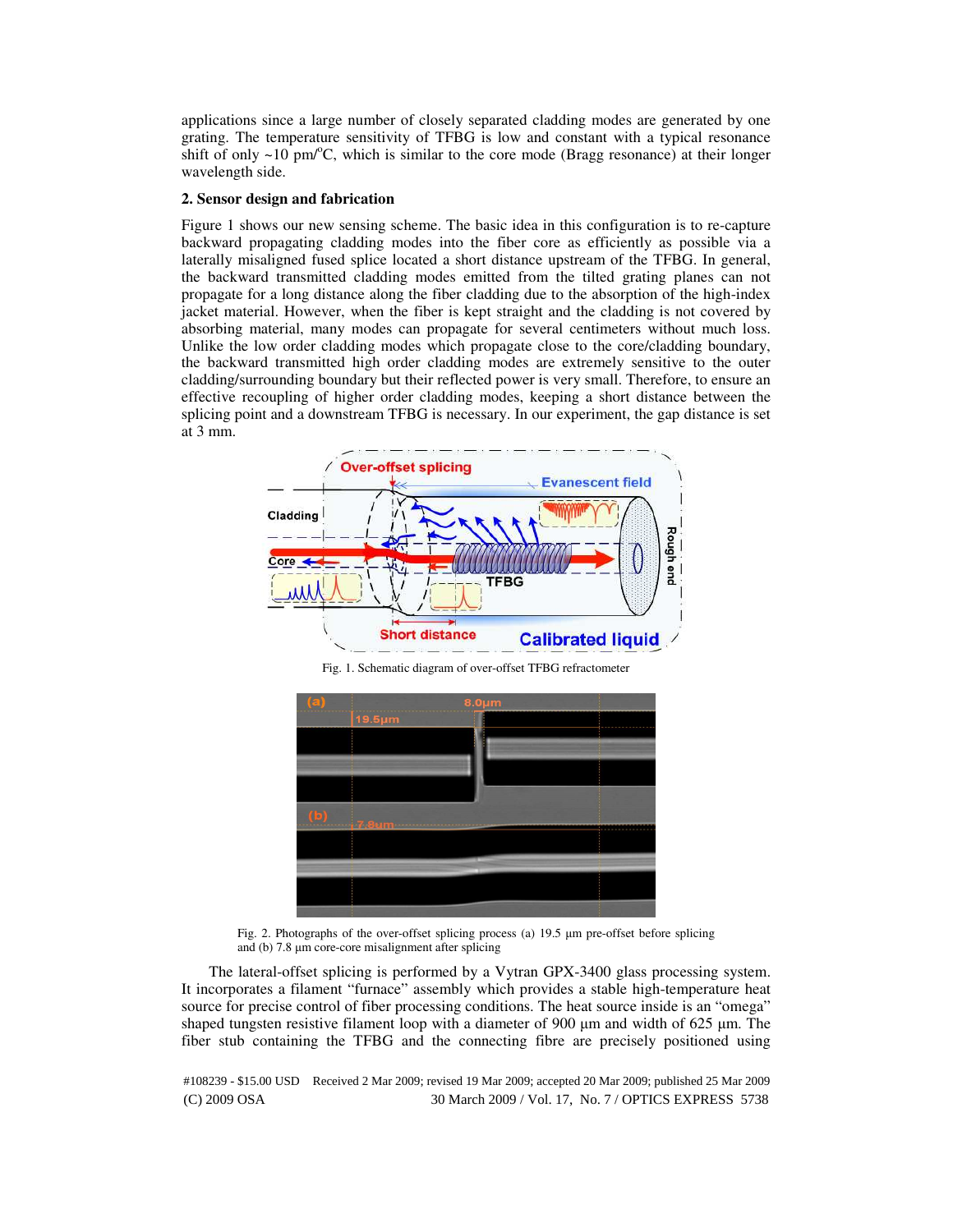applications since a large number of closely separated cladding modes are generated by one grating. The temperature sensitivity of TFBG is low and constant with a typical resonance shift of only  $\sim$ 10 pm/°C, which is similar to the core mode (Bragg resonance) at their longer wavelength side.

#### **2. Sensor design and fabrication**

Figure 1 shows our new sensing scheme. The basic idea in this configuration is to re-capture backward propagating cladding modes into the fiber core as efficiently as possible via a laterally misaligned fused splice located a short distance upstream of the TFBG. In general, the backward transmitted cladding modes emitted from the tilted grating planes can not propagate for a long distance along the fiber cladding due to the absorption of the high-index jacket material. However, when the fiber is kept straight and the cladding is not covered by absorbing material, many modes can propagate for several centimeters without much loss. Unlike the low order cladding modes which propagate close to the core/cladding boundary, the backward transmitted high order cladding modes are extremely sensitive to the outer cladding/surrounding boundary but their reflected power is very small. Therefore, to ensure an effective recoupling of higher order cladding modes, keeping a short distance between the splicing point and a downstream TFBG is necessary. In our experiment, the gap distance is set at 3 mm.



Fig. 1. Schematic diagram of over-offset TFBG refractometer



Fig. 2. Photographs of the over-offset splicing process (a) 19.5 µm pre-offset before splicing and (b) 7.8 µm core-core misalignment after splicing

The lateral-offset splicing is performed by a Vytran GPX-3400 glass processing system. It incorporates a filament "furnace" assembly which provides a stable high-temperature heat source for precise control of fiber processing conditions. The heat source inside is an "omega" shaped tungsten resistive filament loop with a diameter of 900  $\mu$ m and width of 625  $\mu$ m. The fiber stub containing the TFBG and the connecting fibre are precisely positioned using

(C) 2009 OSA 30 March 2009 / Vol. 17, No. 7 / OPTICS EXPRESS 5738 #108239 - \$15.00 USD Received 2 Mar 2009; revised 19 Mar 2009; accepted 20 Mar 2009; published 25 Mar 2009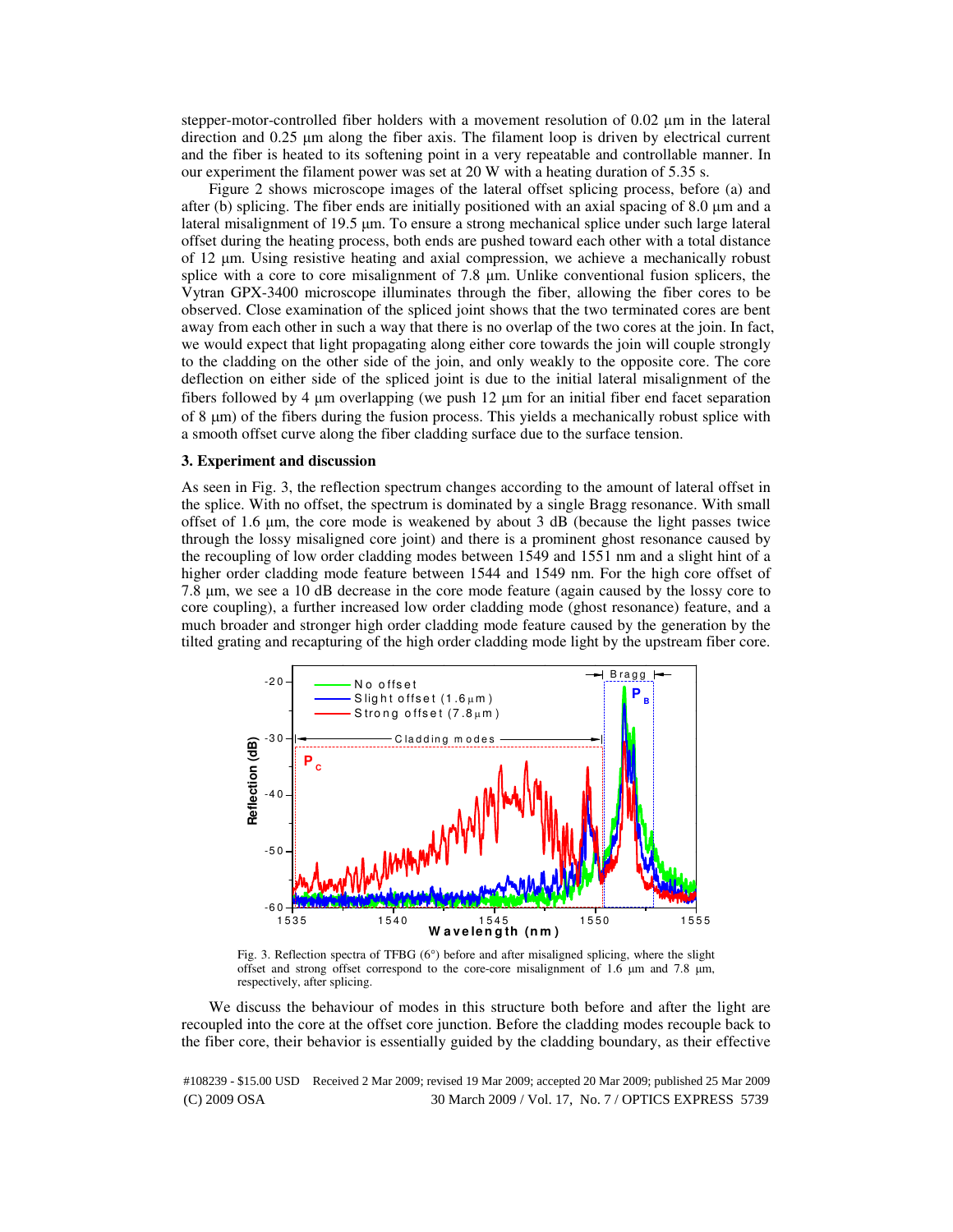stepper-motor-controlled fiber holders with a movement resolution of 0.02  $\mu$ m in the lateral direction and 0.25  $\mu$ m along the fiber axis. The filament loop is driven by electrical current and the fiber is heated to its softening point in a very repeatable and controllable manner. In our experiment the filament power was set at 20 W with a heating duration of 5.35 s.

Figure 2 shows microscope images of the lateral offset splicing process, before (a) and after (b) splicing. The fiber ends are initially positioned with an axial spacing of 8.0  $\mu$ m and a lateral misalignment of 19.5 µm. To ensure a strong mechanical splice under such large lateral offset during the heating process, both ends are pushed toward each other with a total distance of 12 µm. Using resistive heating and axial compression, we achieve a mechanically robust splice with a core to core misalignment of 7.8 µm. Unlike conventional fusion splicers, the Vytran GPX-3400 microscope illuminates through the fiber, allowing the fiber cores to be observed. Close examination of the spliced joint shows that the two terminated cores are bent away from each other in such a way that there is no overlap of the two cores at the join. In fact, we would expect that light propagating along either core towards the join will couple strongly to the cladding on the other side of the join, and only weakly to the opposite core. The core deflection on either side of the spliced joint is due to the initial lateral misalignment of the fibers followed by 4 µm overlapping (we push 12 µm for an initial fiber end facet separation of 8  $\mu$ m) of the fibers during the fusion process. This yields a mechanically robust splice with a smooth offset curve along the fiber cladding surface due to the surface tension.

#### **3. Experiment and discussion**

As seen in Fig. 3, the reflection spectrum changes according to the amount of lateral offset in the splice. With no offset, the spectrum is dominated by a single Bragg resonance. With small offset of 1.6 µm, the core mode is weakened by about 3 dB (because the light passes twice through the lossy misaligned core joint) and there is a prominent ghost resonance caused by the recoupling of low order cladding modes between 1549 and 1551 nm and a slight hint of a higher order cladding mode feature between 1544 and 1549 nm. For the high core offset of 7.8 µm, we see a 10 dB decrease in the core mode feature (again caused by the lossy core to core coupling), a further increased low order cladding mode (ghost resonance) feature, and a much broader and stronger high order cladding mode feature caused by the generation by the tilted grating and recapturing of the high order cladding mode light by the upstream fiber core.



Fig. 3. Reflection spectra of TFBG (6°) before and after misaligned splicing, where the slight offset and strong offset correspond to the core-core misalignment of 1.6  $\mu$ m and 7.8  $\mu$ m, respectively, after splicing.

We discuss the behaviour of modes in this structure both before and after the light are recoupled into the core at the offset core junction. Before the cladding modes recouple back to the fiber core, their behavior is essentially guided by the cladding boundary, as their effective

(C) 2009 OSA 30 March 2009 / Vol. 17, No. 7 / OPTICS EXPRESS 5739 #108239 - \$15.00 USD Received 2 Mar 2009; revised 19 Mar 2009; accepted 20 Mar 2009; published 25 Mar 2009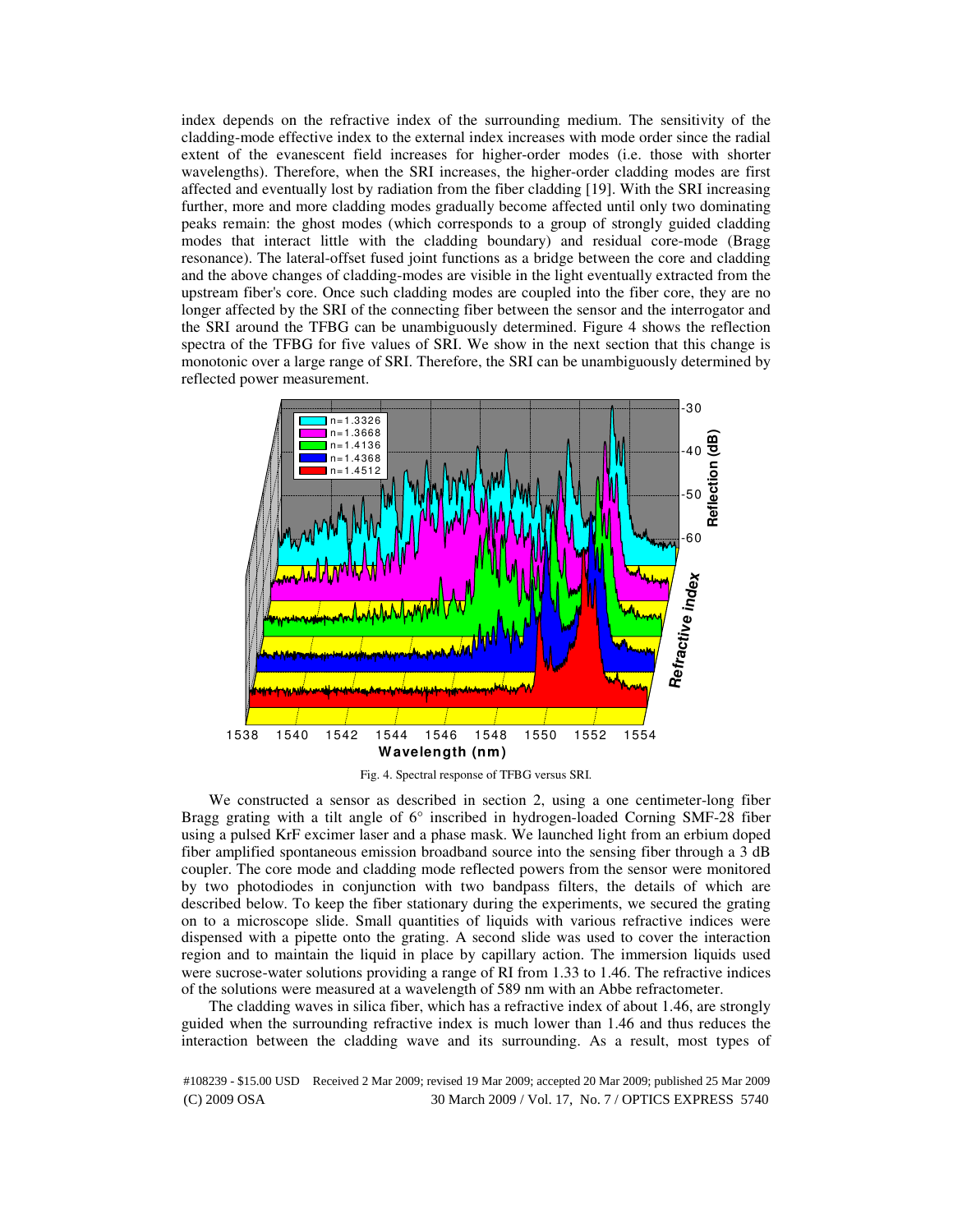index depends on the refractive index of the surrounding medium. The sensitivity of the cladding-mode effective index to the external index increases with mode order since the radial extent of the evanescent field increases for higher-order modes (i.e. those with shorter wavelengths). Therefore, when the SRI increases, the higher-order cladding modes are first affected and eventually lost by radiation from the fiber cladding [19]. With the SRI increasing further, more and more cladding modes gradually become affected until only two dominating peaks remain: the ghost modes (which corresponds to a group of strongly guided cladding modes that interact little with the cladding boundary) and residual core-mode (Bragg resonance). The lateral-offset fused joint functions as a bridge between the core and cladding and the above changes of cladding-modes are visible in the light eventually extracted from the upstream fiber's core. Once such cladding modes are coupled into the fiber core, they are no longer affected by the SRI of the connecting fiber between the sensor and the interrogator and the SRI around the TFBG can be unambiguously determined. Figure 4 shows the reflection spectra of the TFBG for five values of SRI. We show in the next section that this change is monotonic over a large range of SRI. Therefore, the SRI can be unambiguously determined by reflected power measurement.



Fig. 4. Spectral response of TFBG versus SRI.

We constructed a sensor as described in section 2, using a one centimeter-long fiber Bragg grating with a tilt angle of 6° inscribed in hydrogen-loaded Corning SMF-28 fiber using a pulsed KrF excimer laser and a phase mask. We launched light from an erbium doped fiber amplified spontaneous emission broadband source into the sensing fiber through a 3 dB coupler. The core mode and cladding mode reflected powers from the sensor were monitored by two photodiodes in conjunction with two bandpass filters, the details of which are described below. To keep the fiber stationary during the experiments, we secured the grating on to a microscope slide. Small quantities of liquids with various refractive indices were dispensed with a pipette onto the grating. A second slide was used to cover the interaction region and to maintain the liquid in place by capillary action. The immersion liquids used were sucrose-water solutions providing a range of RI from 1.33 to 1.46. The refractive indices of the solutions were measured at a wavelength of 589 nm with an Abbe refractometer.

The cladding waves in silica fiber, which has a refractive index of about 1.46, are strongly guided when the surrounding refractive index is much lower than 1.46 and thus reduces the interaction between the cladding wave and its surrounding. As a result, most types of

(C) 2009 OSA 30 March 2009 / Vol. 17, No. 7 / OPTICS EXPRESS 5740 #108239 - \$15.00 USD Received 2 Mar 2009; revised 19 Mar 2009; accepted 20 Mar 2009; published 25 Mar 2009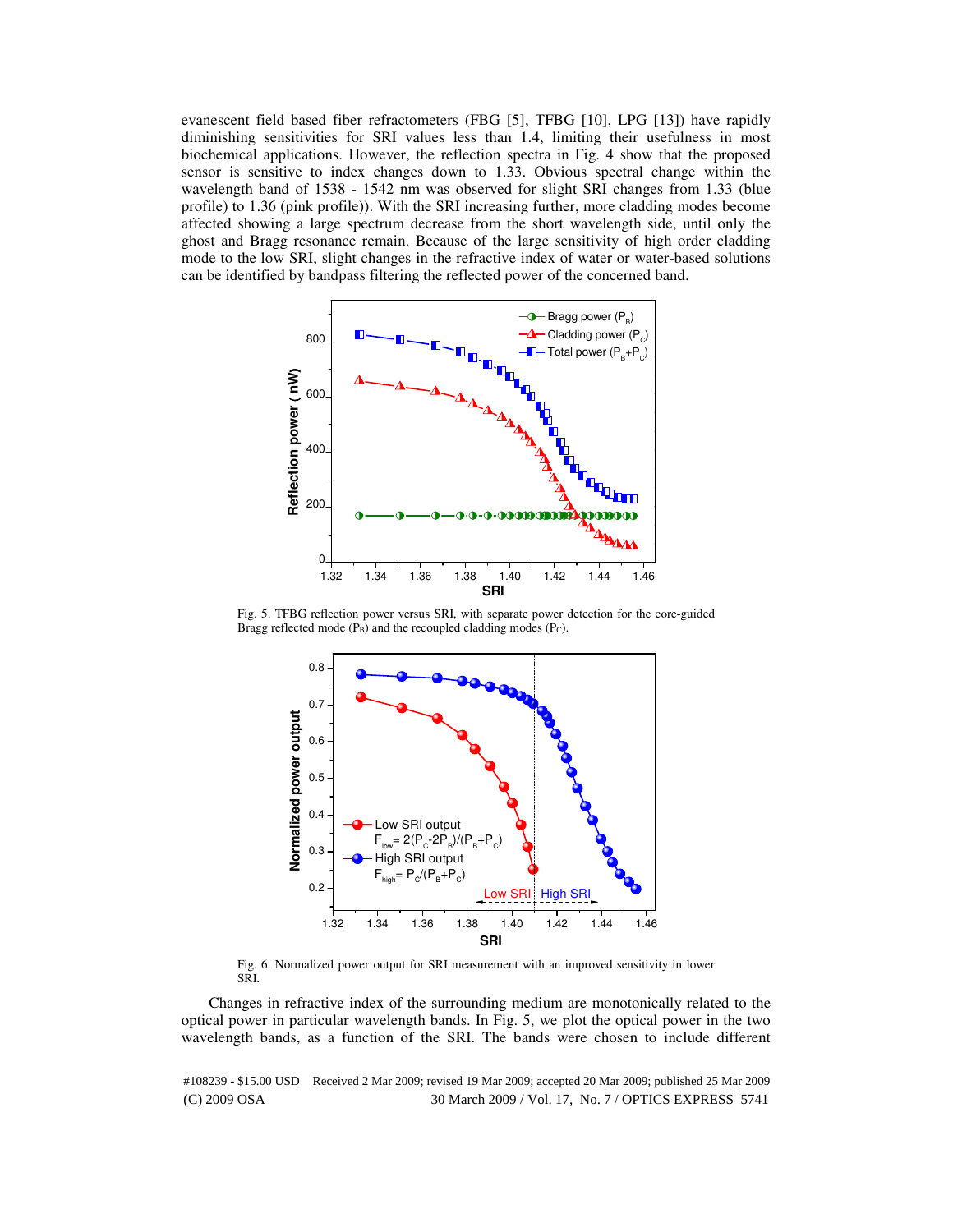evanescent field based fiber refractometers (FBG [5], TFBG [10], LPG [13]) have rapidly diminishing sensitivities for SRI values less than 1.4, limiting their usefulness in most biochemical applications. However, the reflection spectra in Fig. 4 show that the proposed sensor is sensitive to index changes down to 1.33. Obvious spectral change within the wavelength band of 1538 - 1542 nm was observed for slight SRI changes from 1.33 (blue profile) to 1.36 (pink profile)). With the SRI increasing further, more cladding modes become affected showing a large spectrum decrease from the short wavelength side, until only the ghost and Bragg resonance remain. Because of the large sensitivity of high order cladding mode to the low SRI, slight changes in the refractive index of water or water-based solutions can be identified by bandpass filtering the reflected power of the concerned band.



Fig. 5. TFBG reflection power versus SRI, with separate power detection for the core-guided Bragg reflected mode  $(P_B)$  and the recoupled cladding modes  $(P_C)$ .



Fig. 6. Normalized power output for SRI measurement with an improved sensitivity in lower SRI.

Changes in refractive index of the surrounding medium are monotonically related to the optical power in particular wavelength bands. In Fig. 5, we plot the optical power in the two wavelength bands, as a function of the SRI. The bands were chosen to include different

(C) 2009 OSA 30 March 2009 / Vol. 17, No. 7 / OPTICS EXPRESS 5741 #108239 - \$15.00 USD Received 2 Mar 2009; revised 19 Mar 2009; accepted 20 Mar 2009; published 25 Mar 2009